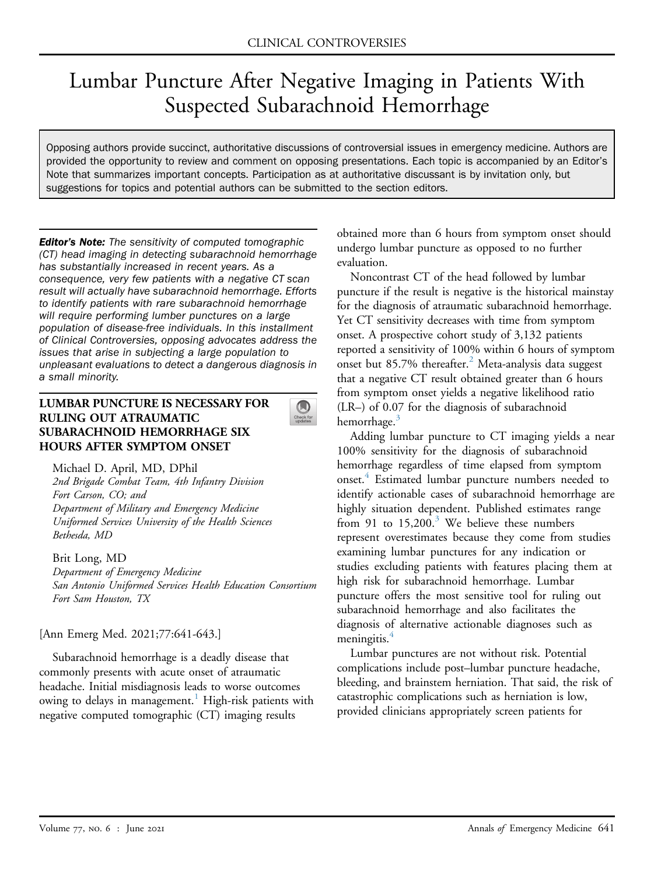# Lumbar Puncture After Negative Imaging in Patients With Suspected Subarachnoid Hemorrhage

Opposing authors provide succinct, authoritative discussions of controversial issues in emergency medicine. Authors are provided the opportunity to review and comment on opposing presentations. Each topic is accompanied by an Editor's Note that summarizes important concepts. Participation as at authoritative discussant is by invitation only, but suggestions for topics and potential authors can be submitted to the section editors.

 $\bigcirc$ 

**Editor's Note:** The sensitivity of computed tomographic (CT) head imaging in detecting subarachnoid hemorrhage has substantially increased in recent years. As a consequence, very few patients with a negative CT scan result will actually have subarachnoid hemorrhage. Efforts to identify patients with rare subarachnoid hemorrhage will require performing lumber punctures on a large population of disease-free individuals. In this installment of Clinical Controversies, opposing advocates address the issues that arise in subjecting a large population to unpleasant evaluations to detect a dangerous diagnosis in a small minority.

## LUMBAR PUNCTURE IS NECESSARY FOR RULING OUT ATRAUMATIC SUBARACHNOID HEMORRHAGE SIX HOURS AFTER SYMPTOM ONSET

Michael D. April, MD, DPhil 2nd Brigade Combat Team, 4th Infantry Division Fort Carson, CO; and Department of Military and Emergency Medicine Uniformed Services University of the Health Sciences Bethesda, MD

Brit Long, MD Department of Emergency Medicine San Antonio Uniformed Services Health Education Consortium Fort Sam Houston, TX

[Ann Emerg Med. 2021;77:641-643.]

Subarachnoid hemorrhage is a deadly disease that commonly presents with acute onset of atraumatic headache. Initial misdiagnosis leads to worse outcomes owing to delays in management.<sup>[1](#page-2-0)</sup> High-risk patients with negative computed tomographic (CT) imaging results

obtained more than 6 hours from symptom onset should undergo lumbar puncture as opposed to no further evaluation.

Noncontrast CT of the head followed by lumbar puncture if the result is negative is the historical mainstay for the diagnosis of atraumatic subarachnoid hemorrhage. Yet CT sensitivity decreases with time from symptom onset. A prospective cohort study of 3,132 patients reported a sensitivity of 100% within 6 hours of symptom onset but 85.7% thereafter.<sup>[2](#page-2-1)</sup> Meta-analysis data suggest that a negative CT result obtained greater than 6 hours from symptom onset yields a negative likelihood ratio (LR–) of 0.07 for the diagnosis of subarachnoid hemorrhage.<sup>3</sup>

Adding lumbar puncture to CT imaging yields a near 100% sensitivity for the diagnosis of subarachnoid hemorrhage regardless of time elapsed from symptom onset.<sup>4</sup> Estimated lumbar puncture numbers needed to identify actionable cases of subarachnoid hemorrhage are highly situation dependent. Published estimates range from 91 to  $15,200$ .<sup>[3](#page-2-2)</sup> We believe these numbers represent overestimates because they come from studies examining lumbar punctures for any indication or studies excluding patients with features placing them at high risk for subarachnoid hemorrhage. Lumbar puncture offers the most sensitive tool for ruling out subarachnoid hemorrhage and also facilitates the diagnosis of alternative actionable diagnoses such as meningitis.<sup>4</sup>

Lumbar punctures are not without risk. Potential complications include post–lumbar puncture headache, bleeding, and brainstem herniation. That said, the risk of catastrophic complications such as herniation is low, provided clinicians appropriately screen patients for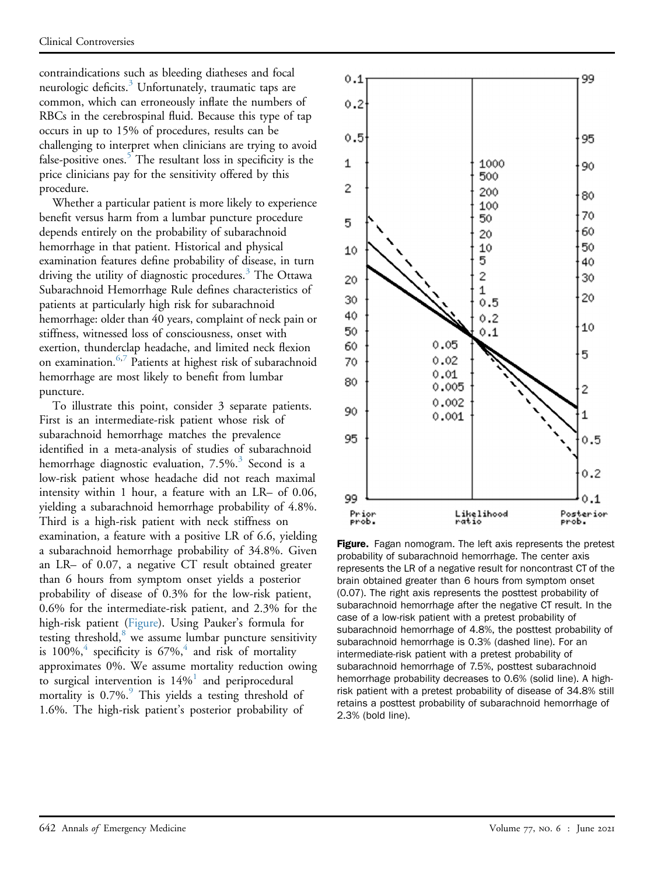contraindications such as bleeding diatheses and focal neurologic deficits.<sup>[3](#page-2-2)</sup> Unfortunately, traumatic taps are common, which can erroneously inflate the numbers of RBCs in the cerebrospinal fluid. Because this type of tap occurs in up to 15% of procedures, results can be challenging to interpret when clinicians are trying to avoid false-positive ones.<sup>5</sup> The resultant loss in specificity is the price clinicians pay for the sensitivity offered by this procedure.

Whether a particular patient is more likely to experience benefit versus harm from a lumbar puncture procedure depends entirely on the probability of subarachnoid hemorrhage in that patient. Historical and physical examination features define probability of disease, in turn driving the utility of diagnostic procedures.<sup>[3](#page-2-2)</sup> The Ottawa Subarachnoid Hemorrhage Rule defines characteristics of patients at particularly high risk for subarachnoid hemorrhage: older than 40 years, complaint of neck pain or stiffness, witnessed loss of consciousness, onset with exertion, thunderclap headache, and limited neck flexion on examination.<sup>[6,](#page-2-5)[7](#page-2-6)</sup> Patients at highest risk of subarachnoid hemorrhage are most likely to benefit from lumbar puncture.

To illustrate this point, consider 3 separate patients. First is an intermediate-risk patient whose risk of subarachnoid hemorrhage matches the prevalence identified in a meta-analysis of studies of subarachnoid hemorrhage diagnostic evaluation, 7.5%.<sup>3</sup> Second is a low-risk patient whose headache did not reach maximal intensity within 1 hour, a feature with an LR– of 0.06, yielding a subarachnoid hemorrhage probability of 4.8%. Third is a high-risk patient with neck stiffness on examination, a feature with a positive LR of 6.6, yielding a subarachnoid hemorrhage probability of 34.8%. Given an LR– of 0.07, a negative CT result obtained greater than 6 hours from symptom onset yields a posterior probability of disease of 0.3% for the low-risk patient, 0.6% for the intermediate-risk patient, and 2.3% for the high-risk patient ([Figure](#page-1-0)). Using Pauker's formula for testing threshold, $8$  we assume lumbar puncture sensitivity is 100%,<sup>[4](#page-2-3)</sup> specificity is  $67\%$ ,<sup>4</sup> and risk of mortality approximates 0%. We assume mortality reduction owing to surgical intervention is  $14\%$ <sup>1</sup> and periprocedural mortality is  $0.7\%$ . This yields a testing threshold of 1.6%. The high-risk patient's posterior probability of

<span id="page-1-0"></span>

Figure. Fagan nomogram. The left axis represents the pretest probability of subarachnoid hemorrhage. The center axis represents the LR of a negative result for noncontrast CT of the brain obtained greater than 6 hours from symptom onset (0.07). The right axis represents the posttest probability of subarachnoid hemorrhage after the negative CT result. In the case of a low-risk patient with a pretest probability of subarachnoid hemorrhage of 4.8%, the posttest probability of subarachnoid hemorrhage is 0.3% (dashed line). For an intermediate-risk patient with a pretest probability of subarachnoid hemorrhage of 7.5%, posttest subarachnoid hemorrhage probability decreases to 0.6% (solid line). A highrisk patient with a pretest probability of disease of 34.8% still retains a posttest probability of subarachnoid hemorrhage of 2.3% (bold line).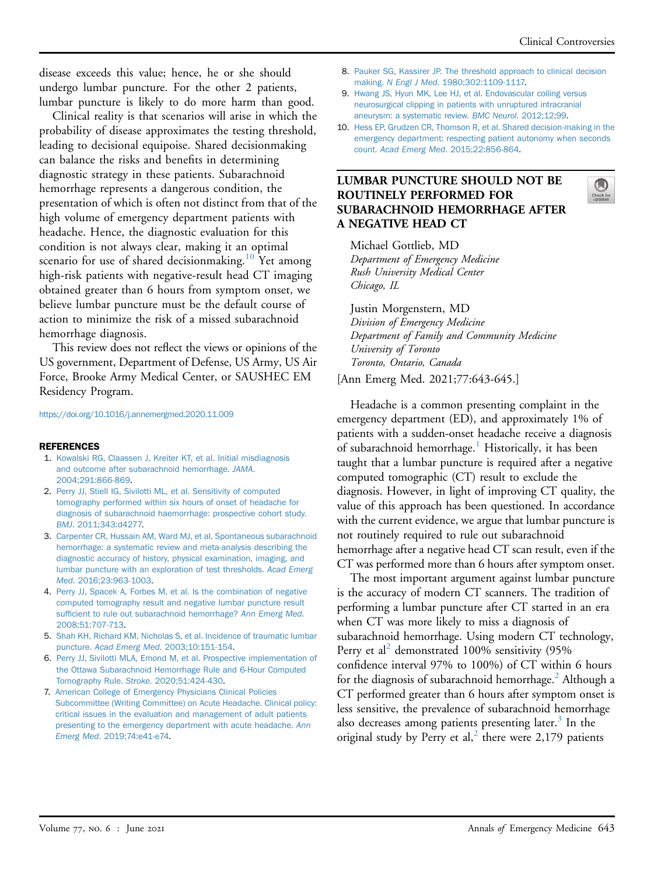disease exceeds this value; hence, he or she should undergo lumbar puncture. For the other 2 patients, lumbar puncture is likely to do more harm than good.

Clinical reality is that scenarios will arise in which the probability of disease approximates the testing threshold, leading to decisional equipoise. Shared decisionmaking can balance the risks and benefits in determining diagnostic strategy in these patients. Subarachnoid hemorrhage represents a dangerous condition, the presentation of which is often not distinct from that of the high volume of emergency department patients with headache. Hence, the diagnostic evaluation for this condition is not always clear, making it an optimal scenario for use of shared decisionmaking.<sup>[10](#page-2-9)</sup> Yet among high-risk patients with negative-result head CT imaging obtained greater than 6 hours from symptom onset, we believe lumbar puncture must be the default course of action to minimize the risk of a missed subarachnoid hemorrhage diagnosis.

This review does not reflect the views or opinions of the US government, Department of Defense, US Army, US Air Force, Brooke Army Medical Center, or SAUSHEC EM Residency Program.

#### <https://doi.org/10.1016/j.annemergmed.2020.11.009>

- <span id="page-2-0"></span>11 ENERENCES<br>1. [Kowalski RG, Claassen J, Kreiter KT, et al. Initial misdiagnosis](http://refhub.elsevier.com/S0196-0644(20)31388-3/sref1) [and outcome after subarachnoid hemorrhage.](http://refhub.elsevier.com/S0196-0644(20)31388-3/sref1) JAMA. [2004;291:866-869](http://refhub.elsevier.com/S0196-0644(20)31388-3/sref1).
- <span id="page-2-1"></span>2. [Perry JJ, Stiell IG, Sivilotti ML, et al. Sensitivity of computed](http://refhub.elsevier.com/S0196-0644(20)31388-3/sref2) [tomography performed within six hours of onset of headache for](http://refhub.elsevier.com/S0196-0644(20)31388-3/sref2) [diagnosis of subarachnoid haemorrhage: prospective cohort study.](http://refhub.elsevier.com/S0196-0644(20)31388-3/sref2) BMJ[. 2011;343:d4277.](http://refhub.elsevier.com/S0196-0644(20)31388-3/sref2)
- <span id="page-2-2"></span>3. [Carpenter CR, Hussain AM, Ward MJ, et al. Spontaneous subarachnoid](http://refhub.elsevier.com/S0196-0644(20)31388-3/sref3) [hemorrhage: a systematic review and meta-analysis describing the](http://refhub.elsevier.com/S0196-0644(20)31388-3/sref3) [diagnostic accuracy of history, physical examination, imaging, and](http://refhub.elsevier.com/S0196-0644(20)31388-3/sref3) [lumbar puncture with an exploration of test thresholds.](http://refhub.elsevier.com/S0196-0644(20)31388-3/sref3) Acad Emerg Med[. 2016;23:963-1003](http://refhub.elsevier.com/S0196-0644(20)31388-3/sref3).
- <span id="page-2-3"></span>4. [Perry JJ, Spacek A, Forbes M, et al. Is the combination of negative](http://refhub.elsevier.com/S0196-0644(20)31388-3/sref4) [computed tomography result and negative lumbar puncture result](http://refhub.elsevier.com/S0196-0644(20)31388-3/sref4) suffi[cient to rule out subarachnoid hemorrhage?](http://refhub.elsevier.com/S0196-0644(20)31388-3/sref4) Ann Emerg Med. [2008;51:707-713.](http://refhub.elsevier.com/S0196-0644(20)31388-3/sref4)
- <span id="page-2-4"></span>5. [Shah KH, Richard KM, Nicholas S, et al. Incidence of traumatic lumbar](http://refhub.elsevier.com/S0196-0644(20)31388-3/sref5) puncture. Acad Emerg Med[. 2003;10:151-154](http://refhub.elsevier.com/S0196-0644(20)31388-3/sref5).
- <span id="page-2-5"></span>6. [Perry JJ, Sivilotti MLA, Emond M, et al. Prospective implementation of](http://refhub.elsevier.com/S0196-0644(20)31388-3/sref6) [the Ottawa Subarachnoid Hemorrhage Rule and 6-Hour Computed](http://refhub.elsevier.com/S0196-0644(20)31388-3/sref6) Tomography Rule. Stroke[. 2020;51:424-430.](http://refhub.elsevier.com/S0196-0644(20)31388-3/sref6)
- <span id="page-2-6"></span>7. [American College of Emergency Physicians Clinical Policies](http://refhub.elsevier.com/S0196-0644(20)31388-3/sref7) [Subcommittee \(Writing Committee\) on Acute Headache. Clinical policy:](http://refhub.elsevier.com/S0196-0644(20)31388-3/sref7) [critical issues in the evaluation and management of adult patients](http://refhub.elsevier.com/S0196-0644(20)31388-3/sref7) [presenting to the emergency department with acute headache.](http://refhub.elsevier.com/S0196-0644(20)31388-3/sref7) Ann Emerg Med[. 2019;74:e41-e74](http://refhub.elsevier.com/S0196-0644(20)31388-3/sref7).
- <span id="page-2-7"></span>8. [Pauker SG, Kassirer JP. The threshold approach to clinical decision](http://refhub.elsevier.com/S0196-0644(20)31388-3/sref8) making. N Engl J Med[. 1980;302:1109-1117.](http://refhub.elsevier.com/S0196-0644(20)31388-3/sref8)
- <span id="page-2-8"></span>9. [Hwang JS, Hyun MK, Lee HJ, et al. Endovascular coiling versus](http://refhub.elsevier.com/S0196-0644(20)31388-3/sref9) [neurosurgical clipping in patients with unruptured intracranial](http://refhub.elsevier.com/S0196-0644(20)31388-3/sref9) [aneurysm: a systematic review.](http://refhub.elsevier.com/S0196-0644(20)31388-3/sref9) BMC Neurol. 2012;12;99.
- <span id="page-2-9"></span>10. [Hess EP, Grudzen CR, Thomson R, et al. Shared decision-making in the](http://refhub.elsevier.com/S0196-0644(20)31388-3/sref10) [emergency department: respecting patient autonomy when seconds](http://refhub.elsevier.com/S0196-0644(20)31388-3/sref10) count. Acad Emerg Med[. 2015;22:856-864](http://refhub.elsevier.com/S0196-0644(20)31388-3/sref10).

# LUMBAR PUNCTURE SHOULD NOT BE ROUTINELY PERFORMED FOR SUBARACHNOID HEMORRHAGE AFTER A NEGATIVE HEAD CT

Michael Gottlieb, MD Department of Emergency Medicine Rush University Medical Center Chicago, IL

Justin Morgenstern, MD Division of Emergency Medicine Department of Family and Community Medicine University of Toronto Toronto, Ontario, Canada

[Ann Emerg Med. 2021;77:643-645.]

Headache is a common presenting complaint in the emergency department (ED), and approximately 1% of patients with a sudden-onset headache receive a diagnosis of subarachnoid hemorrhage.<sup>1</sup> Historically, it has been taught that a lumbar puncture is required after a negative computed tomographic (CT) result to exclude the diagnosis. However, in light of improving CT quality, the value of this approach has been questioned. In accordance with the current evidence, we argue that lumbar puncture is not routinely required to rule out subarachnoid hemorrhage after a negative head CT scan result, even if the CT was performed more than 6 hours after symptom onset.

The most important argument against lumbar puncture is the accuracy of modern CT scanners. The tradition of performing a lumbar puncture after CT started in an era when CT was more likely to miss a diagnosis of subarachnoid hemorrhage. Using modern CT technology, Perry et al<sup>[2](#page-3-1)</sup> demonstrated 100% sensitivity  $(95\%$ confidence interval 97% to 100%) of CT within 6 hours for the diagnosis of subarachnoid hemorrhage.<sup>2</sup> Although a CT performed greater than 6 hours after symptom onset is less sensitive, the prevalence of subarachnoid hemorrhage also decreases among patients presenting later. $3$  In the original study by Perry et al,<sup>[2](#page-3-1)</sup> there were 2,179 patients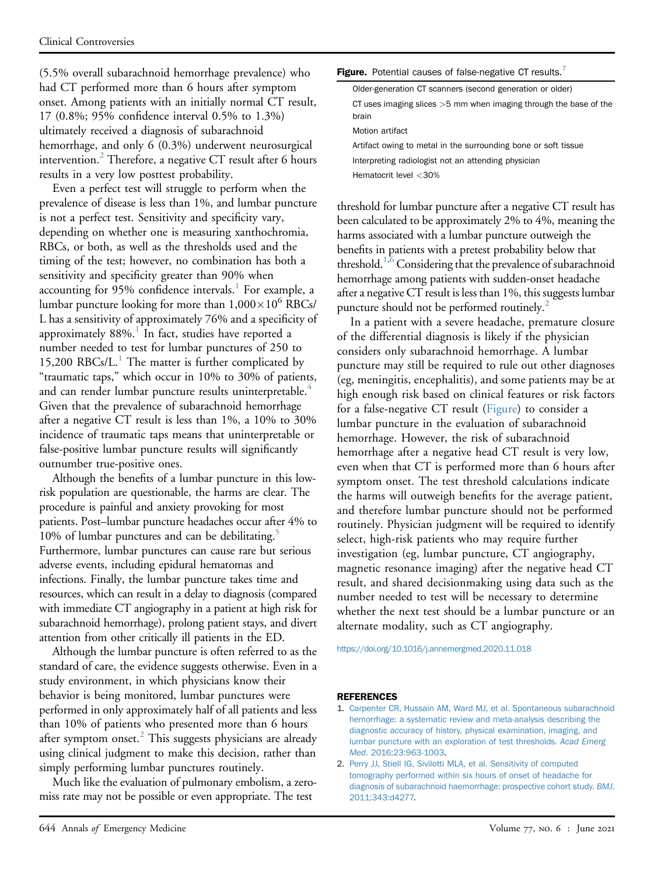(5.5% overall subarachnoid hemorrhage prevalence) who had CT performed more than 6 hours after symptom onset. Among patients with an initially normal CT result, 17 (0.8%; 95% confidence interval 0.5% to 1.3%) ultimately received a diagnosis of subarachnoid hemorrhage, and only 6 (0.3%) underwent neurosurgical intervention.<sup>2</sup> Therefore, a negative CT result after 6 hours results in a very low posttest probability.

Even a perfect test will struggle to perform when the prevalence of disease is less than 1%, and lumbar puncture is not a perfect test. Sensitivity and specificity vary, depending on whether one is measuring xanthochromia, RBCs, or both, as well as the thresholds used and the timing of the test; however, no combination has both a sensitivity and specificity greater than 90% when accounting for 95% confidence intervals.<sup>1</sup> For example, a lumbar puncture looking for more than  $1,000\times10^6$  RBCs/ L has a sensitivity of approximately 76% and a specificity of approximately  $88\%$ .<sup>[1](#page-3-0)</sup> In fact, studies have reported a number needed to test for lumbar punctures of 250 to [1](#page-3-0)5,200 RBCs/ $L<sup>1</sup>$ . The matter is further complicated by "traumatic taps," which occur in 10% to 30% of patients, and can render lumbar puncture results uninterpretable.<sup>[4](#page-4-1)</sup> Given that the prevalence of subarachnoid hemorrhage after a negative CT result is less than 1%, a 10% to 30% incidence of traumatic taps means that uninterpretable or false-positive lumbar puncture results will significantly outnumber true-positive ones.

Although the benefits of a lumbar puncture in this lowrisk population are questionable, the harms are clear. The procedure is painful and anxiety provoking for most patients. Post–lumbar puncture headaches occur after 4% to 10% of lumbar punctures and can be debilitating.<sup>5</sup> Furthermore, lumbar punctures can cause rare but serious adverse events, including epidural hematomas and infections. Finally, the lumbar puncture takes time and resources, which can result in a delay to diagnosis (compared with immediate CT angiography in a patient at high risk for subarachnoid hemorrhage), prolong patient stays, and divert attention from other critically ill patients in the ED.

Although the lumbar puncture is often referred to as the standard of care, the evidence suggests otherwise. Even in a study environment, in which physicians know their behavior is being monitored, lumbar punctures were performed in only approximately half of all patients and less than 10% of patients who presented more than 6 hours after symptom onset.<sup>[2](#page-3-1)</sup> This suggests physicians are already using clinical judgment to make this decision, rather than simply performing lumbar punctures routinely.

Much like the evaluation of pulmonary embolism, a zeromiss rate may not be possible or even appropriate. The test

| Figure. Potential causes of false-negative CT results. <sup>7</sup>          |
|------------------------------------------------------------------------------|
| Older-generation CT scanners (second generation or older)                    |
| CT uses imaging slices $>5$ mm when imaging through the base of the<br>brain |
| Motion artifact                                                              |
| Artifact owing to metal in the surrounding bone or soft tissue               |
| Interpreting radiologist not an attending physician                          |
| Hematocrit level $<$ 30%                                                     |

threshold for lumbar puncture after a negative CT result has been calculated to be approximately 2% to 4%, meaning the harms associated with a lumbar puncture outweigh the benefits in patients with a pretest probability below that threshold.<sup>[1,](#page-3-0)[6](#page-4-3)</sup> Considering that the prevalence of subarachnoid hemorrhage among patients with sudden-onset headache after a negative CT result is less than 1%, this suggests lumbar puncture should not be performed routinely.<sup>2</sup>

In a patient with a severe headache, premature closure of the differential diagnosis is likely if the physician considers only subarachnoid hemorrhage. A lumbar puncture may still be required to rule out other diagnoses (eg, meningitis, encephalitis), and some patients may be at high enough risk based on clinical features or risk factors for a false-negative CT result (Figure) to consider a lumbar puncture in the evaluation of subarachnoid hemorrhage. However, the risk of subarachnoid hemorrhage after a negative head CT result is very low, even when that CT is performed more than 6 hours after symptom onset. The test threshold calculations indicate the harms will outweigh benefits for the average patient, and therefore lumbar puncture should not be performed routinely. Physician judgment will be required to identify select, high-risk patients who may require further investigation (eg, lumbar puncture, CT angiography, magnetic resonance imaging) after the negative head CT result, and shared decisionmaking using data such as the number needed to test will be necessary to determine whether the next test should be a lumbar puncture or an alternate modality, such as CT angiography.

<https://doi.org/10.1016/j.annemergmed.2020.11.018>

- <span id="page-3-0"></span>1. [Carpenter CR, Hussain AM, Ward MJ, et al. Spontaneous subarachnoid](http://refhub.elsevier.com/S0196-0644(20)31429-3/sref1) [hemorrhage: a systematic review and meta-analysis describing the](http://refhub.elsevier.com/S0196-0644(20)31429-3/sref1) [diagnostic accuracy of history, physical examination, imaging, and](http://refhub.elsevier.com/S0196-0644(20)31429-3/sref1) [lumbar puncture with an exploration of test thresholds.](http://refhub.elsevier.com/S0196-0644(20)31429-3/sref1) Acad Emerg Med[. 2016;23:963-1003](http://refhub.elsevier.com/S0196-0644(20)31429-3/sref1).
- <span id="page-3-1"></span>2. [Perry JJ, Stiell IG, Sivilotti MLA, et al. Sensitivity of computed](http://refhub.elsevier.com/S0196-0644(20)31429-3/sref2) [tomography performed within six hours of onset of headache for](http://refhub.elsevier.com/S0196-0644(20)31429-3/sref2) [diagnosis of subarachnoid haemorrhage: prospective cohort study.](http://refhub.elsevier.com/S0196-0644(20)31429-3/sref2) BMJ. [2011;343:d4277.](http://refhub.elsevier.com/S0196-0644(20)31429-3/sref2)